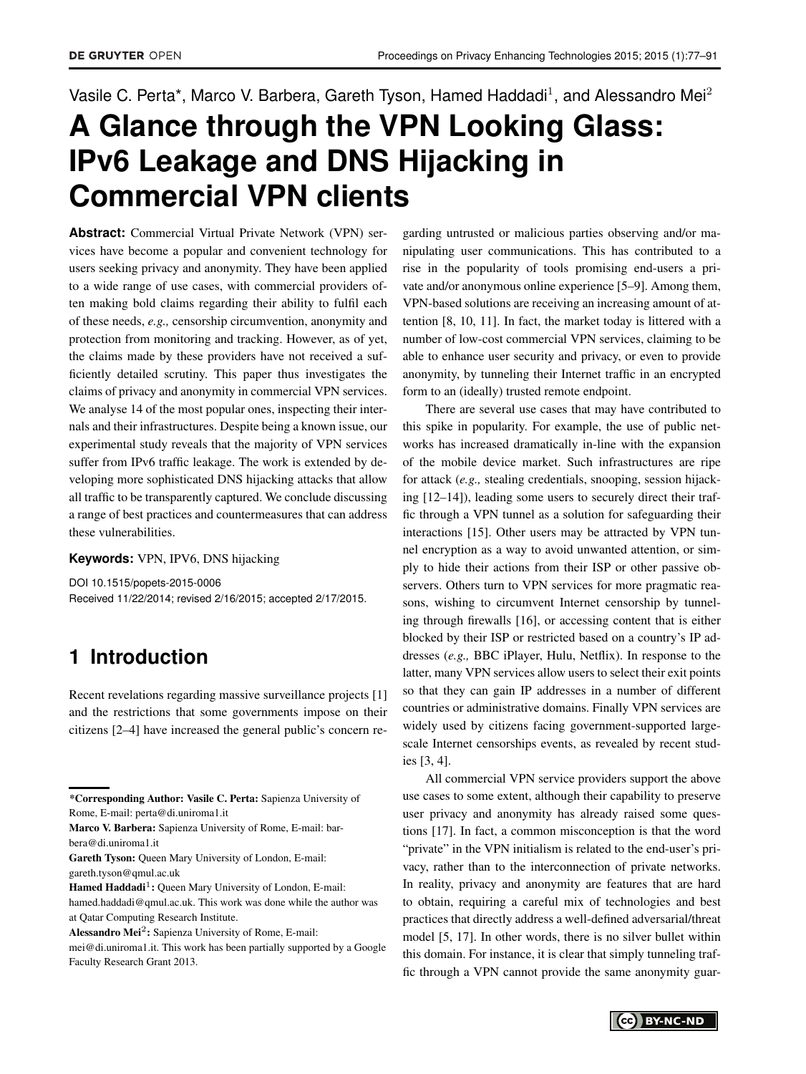# Vasile C. Perta\*, Marco V. Barbera, Gareth Tyson, Hamed Haddadi<sup>1</sup>, and Alessandro Mei<sup>2</sup>

# **A Glance through the VPN Looking Glass: IPv6 Leakage and DNS Hijacking in Commercial VPN clients**

**Abstract:** Commercial Virtual Private Network (VPN) services have become a popular and convenient technology for users seeking privacy and anonymity. They have been applied to a wide range of use cases, with commercial providers often making bold claims regarding their ability to fulfil each of these needs, *e.g.,* censorship circumvention, anonymity and protection from monitoring and tracking. However, as of yet, the claims made by these providers have not received a sufficiently detailed scrutiny. This paper thus investigates the claims of privacy and anonymity in commercial VPN services. We analyse 14 of the most popular ones, inspecting their internals and their infrastructures. Despite being a known issue, our experimental study reveals that the majority of VPN services suffer from IPv6 traffic leakage. The work is extended by developing more sophisticated DNS hijacking attacks that allow all traffic to be transparently captured. We conclude discussing a range of best practices and countermeasures that can address these vulnerabilities.

**Keywords:** VPN, IPV6, DNS hijacking

DOI 10.1515/popets-2015-0006 Received 11/22/2014; revised 2/16/2015; accepted 2/17/2015.

# **1 Introduction**

Recent revelations regarding massive surveillance projects [\[1\]](#page-13-0) and the restrictions that some governments impose on their citizens [\[2](#page-13-1)[–4\]](#page-13-2) have increased the general public's concern re-

garding untrusted or malicious parties observing and/or manipulating user communications. This has contributed to a rise in the popularity of tools promising end-users a private and/or anonymous online experience [\[5–](#page-13-3)[9\]](#page-13-4). Among them, VPN-based solutions are receiving an increasing amount of attention [\[8,](#page-13-5) [10,](#page-13-6) [11\]](#page-13-7). In fact, the market today is littered with a number of low-cost commercial VPN services, claiming to be able to enhance user security and privacy, or even to provide anonymity, by tunneling their Internet traffic in an encrypted form to an (ideally) trusted remote endpoint.

There are several use cases that may have contributed to this spike in popularity. For example, the use of public networks has increased dramatically in-line with the expansion of the mobile device market. Such infrastructures are ripe for attack (*e.g.,* stealing credentials, snooping, session hijacking [\[12](#page-13-8)[–14\]](#page-13-9)), leading some users to securely direct their traffic through a VPN tunnel as a solution for safeguarding their interactions [\[15\]](#page-13-10). Other users may be attracted by VPN tunnel encryption as a way to avoid unwanted attention, or simply to hide their actions from their ISP or other passive observers. Others turn to VPN services for more pragmatic reasons, wishing to circumvent Internet censorship by tunneling through firewalls [\[16\]](#page-13-11), or accessing content that is either blocked by their ISP or restricted based on a country's IP addresses (*e.g.,* BBC iPlayer, Hulu, Netflix). In response to the latter, many VPN services allow users to select their exit points so that they can gain IP addresses in a number of different countries or administrative domains. Finally VPN services are widely used by citizens facing government-supported largescale Internet censorships events, as revealed by recent studies [\[3,](#page-13-12) [4\]](#page-13-2).

All commercial VPN service providers support the above use cases to some extent, although their capability to preserve user privacy and anonymity has already raised some questions [\[17\]](#page-13-13). In fact, a common misconception is that the word "private" in the VPN initialism is related to the end-user's privacy, rather than to the interconnection of private networks. In reality, privacy and anonymity are features that are hard to obtain, requiring a careful mix of technologies and best practices that directly address a well-defined adversarial/threat model [\[5,](#page-13-3) [17\]](#page-13-13). In other words, there is no silver bullet within this domain. For instance, it is clear that simply tunneling traffic through a VPN cannot provide the same anonymity guar-

<sup>\*</sup>Corresponding Author: Vasile C. Perta: Sapienza University of Rome, E-mail: perta@di.uniroma1.it

Marco V. Barbera: Sapienza University of Rome, E-mail: barbera@di.uniroma1.it

Gareth Tyson: Queen Mary University of London, E-mail: gareth.tyson@qmul.ac.uk

Hamed Haddadi<sup>1</sup>: Queen Mary University of London, E-mail: hamed.haddadi@qmul.ac.uk. This work was done while the author was at Qatar Computing Research Institute.

Alessandro Mei<sup>2</sup>: Sapienza University of Rome, E-mail:

mei@di.uniroma1.it. This work has been partially supported by a Google Faculty Research Grant 2013.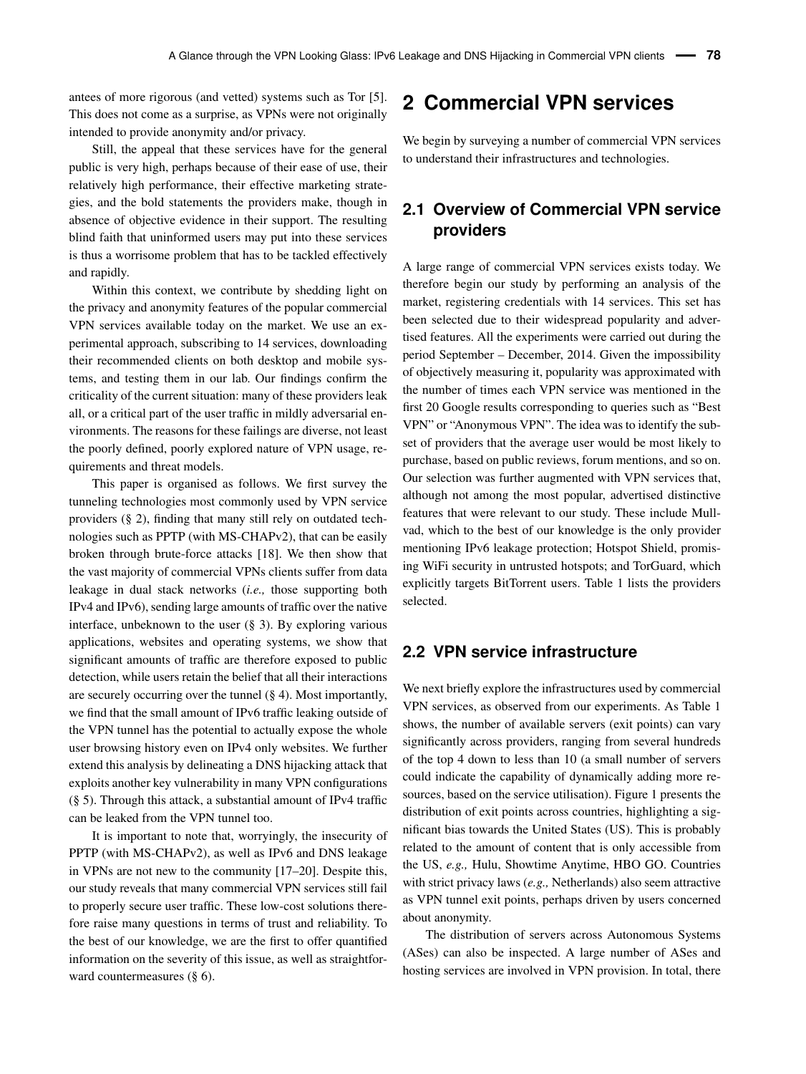antees of more rigorous (and vetted) systems such as Tor [\[5\]](#page-13-3). This does not come as a surprise, as VPNs were not originally intended to provide anonymity and/or privacy.

Still, the appeal that these services have for the general public is very high, perhaps because of their ease of use, their relatively high performance, their effective marketing strategies, and the bold statements the providers make, though in absence of objective evidence in their support. The resulting blind faith that uninformed users may put into these services is thus a worrisome problem that has to be tackled effectively and rapidly.

Within this context, we contribute by shedding light on the privacy and anonymity features of the popular commercial VPN services available today on the market. We use an experimental approach, subscribing to 14 services, downloading their recommended clients on both desktop and mobile systems, and testing them in our lab. Our findings confirm the criticality of the current situation: many of these providers leak all, or a critical part of the user traffic in mildly adversarial environments. The reasons for these failings are diverse, not least the poorly defined, poorly explored nature of VPN usage, requirements and threat models.

This paper is organised as follows. We first survey the tunneling technologies most commonly used by VPN service providers (§ [2\)](#page-1-0), finding that many still rely on outdated technologies such as PPTP (with MS-CHAPv2), that can be easily broken through brute-force attacks [\[18\]](#page-13-14). We then show that the vast majority of commercial VPNs clients suffer from data leakage in dual stack networks (*i.e.,* those supporting both IPv4 and IPv6), sending large amounts of traffic over the native interface, unbeknown to the user (§ [3\)](#page-3-0). By exploring various applications, websites and operating systems, we show that significant amounts of traffic are therefore exposed to public detection, while users retain the belief that all their interactions are securely occurring over the tunnel (§ [4\)](#page-5-0). Most importantly, we find that the small amount of IPv6 traffic leaking outside of the VPN tunnel has the potential to actually expose the whole user browsing history even on IPv4 only websites. We further extend this analysis by delineating a DNS hijacking attack that exploits another key vulnerability in many VPN configurations (§ [5\)](#page-7-0). Through this attack, a substantial amount of IPv4 traffic can be leaked from the VPN tunnel too.

It is important to note that, worryingly, the insecurity of PPTP (with MS-CHAPv2), as well as IPv6 and DNS leakage in VPNs are not new to the community [\[17](#page-13-13)[–20\]](#page-13-15). Despite this, our study reveals that many commercial VPN services still fail to properly secure user traffic. These low-cost solutions therefore raise many questions in terms of trust and reliability. To the best of our knowledge, we are the first to offer quantified information on the severity of this issue, as well as straightforward countermeasures (§ [6\)](#page-11-0).

### <span id="page-1-0"></span>**2 Commercial VPN services**

We begin by surveying a number of commercial VPN services to understand their infrastructures and technologies.

### **2.1 Overview of Commercial VPN service providers**

A large range of commercial VPN services exists today. We therefore begin our study by performing an analysis of the market, registering credentials with 14 services. This set has been selected due to their widespread popularity and advertised features. All the experiments were carried out during the period September – December, 2014. Given the impossibility of objectively measuring it, popularity was approximated with the number of times each VPN service was mentioned in the first 20 Google results corresponding to queries such as "Best VPN" or "Anonymous VPN". The idea was to identify the subset of providers that the average user would be most likely to purchase, based on public reviews, forum mentions, and so on. Our selection was further augmented with VPN services that, although not among the most popular, advertised distinctive features that were relevant to our study. These include Mullvad, which to the best of our knowledge is the only provider mentioning IPv6 leakage protection; Hotspot Shield, promising WiFi security in untrusted hotspots; and TorGuard, which explicitly targets BitTorrent users. Table [1](#page-2-0) lists the providers selected.

#### **2.2 VPN service infrastructure**

We next briefly explore the infrastructures used by commercial VPN services, as observed from our experiments. As Table [1](#page-2-0) shows, the number of available servers (exit points) can vary significantly across providers, ranging from several hundreds of the top 4 down to less than 10 (a small number of servers could indicate the capability of dynamically adding more resources, based on the service utilisation). Figure [1](#page-2-1) presents the distribution of exit points across countries, highlighting a significant bias towards the United States (US). This is probably related to the amount of content that is only accessible from the US, *e.g.,* Hulu, Showtime Anytime, HBO GO. Countries with strict privacy laws (*e.g.,* Netherlands) also seem attractive as VPN tunnel exit points, perhaps driven by users concerned about anonymity.

The distribution of servers across Autonomous Systems (ASes) can also be inspected. A large number of ASes and hosting services are involved in VPN provision. In total, there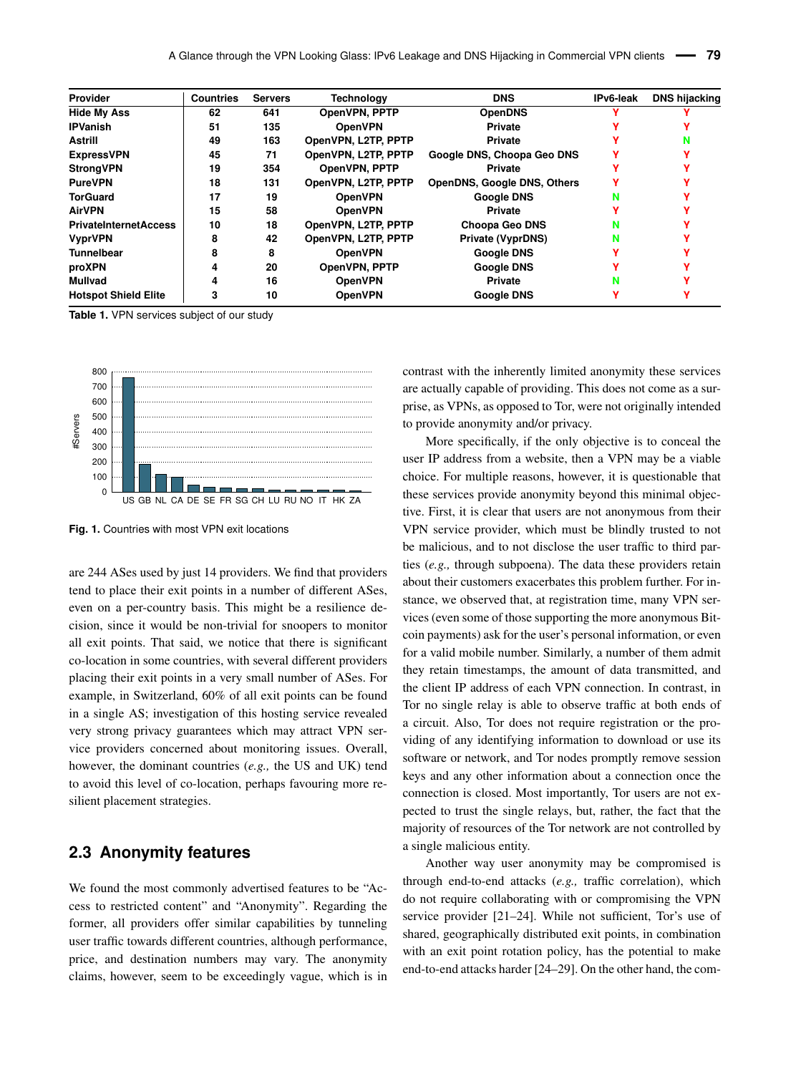<span id="page-2-0"></span>

| <b>Provider</b>              | <b>DNS</b><br><b>Countries</b><br><b>Technology</b><br><b>Servers</b> |     |                     | IPv6-leak                          | <b>DNS hijacking</b> |  |
|------------------------------|-----------------------------------------------------------------------|-----|---------------------|------------------------------------|----------------------|--|
| <b>Hide My Ass</b>           | 62                                                                    | 641 | OpenVPN, PPTP       | <b>OpenDNS</b>                     |                      |  |
| <b>IPVanish</b>              | 51                                                                    | 135 | <b>OpenVPN</b>      | <b>Private</b>                     |                      |  |
| <b>Astrill</b>               | 49                                                                    | 163 | OpenVPN, L2TP, PPTP | <b>Private</b>                     |                      |  |
| <b>ExpressVPN</b>            | 45                                                                    | 71  | OpenVPN, L2TP, PPTP | Google DNS, Choopa Geo DNS         |                      |  |
| <b>StrongVPN</b>             | 19                                                                    | 354 | OpenVPN, PPTP       | <b>Private</b>                     |                      |  |
| <b>PureVPN</b>               | 18                                                                    | 131 | OpenVPN, L2TP, PPTP | <b>OpenDNS, Google DNS, Others</b> |                      |  |
| <b>TorGuard</b>              | 17                                                                    | 19  | <b>OpenVPN</b>      | <b>Google DNS</b>                  |                      |  |
| <b>AirVPN</b>                | 15                                                                    | 58  | <b>OpenVPN</b>      | <b>Private</b>                     |                      |  |
| <b>PrivateInternetAccess</b> | 10                                                                    | 18  | OpenVPN, L2TP, PPTP | <b>Choopa Geo DNS</b>              | N                    |  |
| <b>VyprVPN</b>               | 8                                                                     | 42  | OpenVPN, L2TP, PPTP | <b>Private (VyprDNS)</b>           | N                    |  |
| <b>Tunnelbear</b>            | 8                                                                     | 8   | <b>OpenVPN</b>      | <b>Google DNS</b>                  |                      |  |
| proXPN                       | 4                                                                     | 20  | OpenVPN, PPTP       | <b>Google DNS</b>                  |                      |  |
| <b>Mullvad</b>               | 4                                                                     | 16  | <b>OpenVPN</b>      | <b>Private</b>                     | N                    |  |
| <b>Hotspot Shield Elite</b>  | 3                                                                     | 10  | <b>OpenVPN</b>      | <b>Google DNS</b>                  |                      |  |

**Table 1.** VPN services subject of our study

<span id="page-2-1"></span>

**Fig. 1.** Countries with most VPN exit locations

are 244 ASes used by just 14 providers. We find that providers tend to place their exit points in a number of different ASes, even on a per-country basis. This might be a resilience decision, since it would be non-trivial for snoopers to monitor all exit points. That said, we notice that there is significant co-location in some countries, with several different providers placing their exit points in a very small number of ASes. For example, in Switzerland, 60% of all exit points can be found in a single AS; investigation of this hosting service revealed very strong privacy guarantees which may attract VPN service providers concerned about monitoring issues. Overall, however, the dominant countries (*e.g.,* the US and UK) tend to avoid this level of co-location, perhaps favouring more resilient placement strategies.

#### **2.3 Anonymity features**

We found the most commonly advertised features to be "Access to restricted content" and "Anonymity". Regarding the former, all providers offer similar capabilities by tunneling user traffic towards different countries, although performance, price, and destination numbers may vary. The anonymity claims, however, seem to be exceedingly vague, which is in

contrast with the inherently limited anonymity these services are actually capable of providing. This does not come as a surprise, as VPNs, as opposed to Tor, were not originally intended to provide anonymity and/or privacy.

More specifically, if the only objective is to conceal the user IP address from a website, then a VPN may be a viable choice. For multiple reasons, however, it is questionable that these services provide anonymity beyond this minimal objective. First, it is clear that users are not anonymous from their VPN service provider, which must be blindly trusted to not be malicious, and to not disclose the user traffic to third parties (*e.g.,* through subpoena). The data these providers retain about their customers exacerbates this problem further. For instance, we observed that, at registration time, many VPN services (even some of those supporting the more anonymous Bitcoin payments) ask for the user's personal information, or even for a valid mobile number. Similarly, a number of them admit they retain timestamps, the amount of data transmitted, and the client IP address of each VPN connection. In contrast, in Tor no single relay is able to observe traffic at both ends of a circuit. Also, Tor does not require registration or the providing of any identifying information to download or use its software or network, and Tor nodes promptly remove session keys and any other information about a connection once the connection is closed. Most importantly, Tor users are not expected to trust the single relays, but, rather, the fact that the majority of resources of the Tor network are not controlled by a single malicious entity.

Another way user anonymity may be compromised is through end-to-end attacks (*e.g.,* traffic correlation), which do not require collaborating with or compromising the VPN service provider [\[21–](#page-13-16)[24\]](#page-13-17). While not sufficient, Tor's use of shared, geographically distributed exit points, in combination with an exit point rotation policy, has the potential to make end-to-end attacks harder [\[24–](#page-13-17)[29\]](#page-14-1). On the other hand, the com-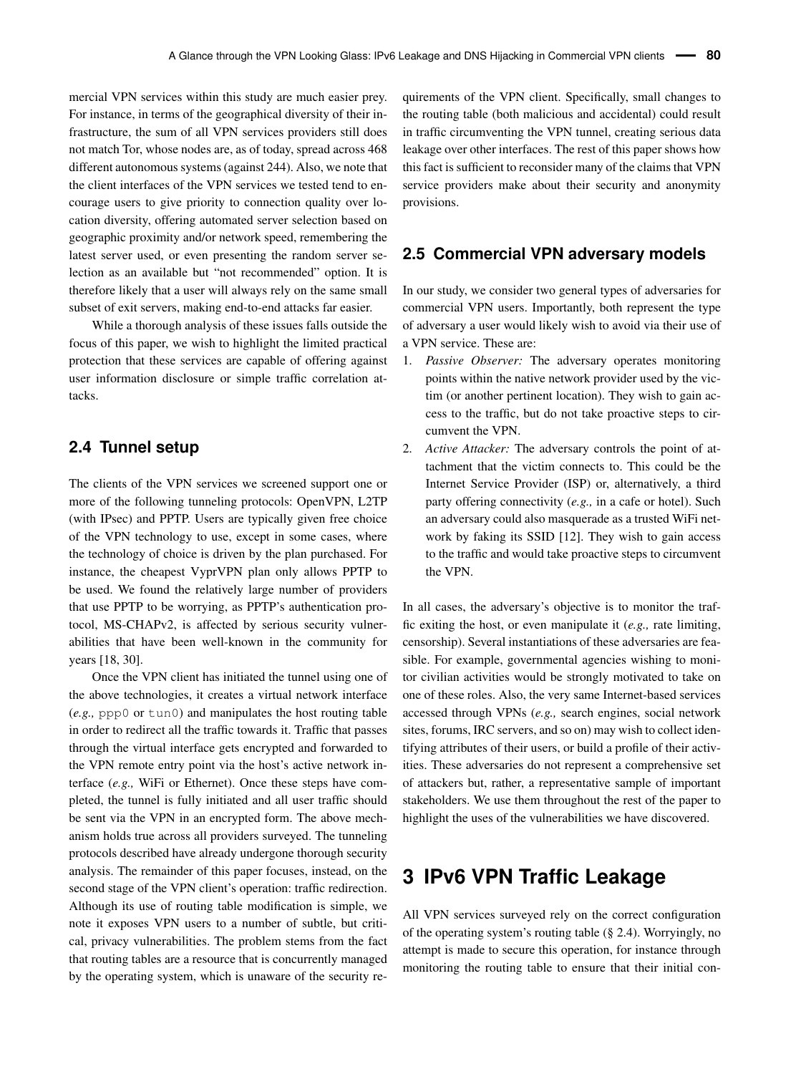mercial VPN services within this study are much easier prey. For instance, in terms of the geographical diversity of their infrastructure, the sum of all VPN services providers still does not match Tor, whose nodes are, as of today, spread across 468 different autonomous systems (against 244). Also, we note that the client interfaces of the VPN services we tested tend to encourage users to give priority to connection quality over location diversity, offering automated server selection based on geographic proximity and/or network speed, remembering the latest server used, or even presenting the random server selection as an available but "not recommended" option. It is therefore likely that a user will always rely on the same small subset of exit servers, making end-to-end attacks far easier.

While a thorough analysis of these issues falls outside the focus of this paper, we wish to highlight the limited practical protection that these services are capable of offering against user information disclosure or simple traffic correlation attacks.

#### <span id="page-3-1"></span>**2.4 Tunnel setup**

The clients of the VPN services we screened support one or more of the following tunneling protocols: OpenVPN, L2TP (with IPsec) and PPTP. Users are typically given free choice of the VPN technology to use, except in some cases, where the technology of choice is driven by the plan purchased. For instance, the cheapest VyprVPN plan only allows PPTP to be used. We found the relatively large number of providers that use PPTP to be worrying, as PPTP's authentication protocol, MS-CHAPv2, is affected by serious security vulnerabilities that have been well-known in the community for years [\[18,](#page-13-14) [30\]](#page-14-2).

Once the VPN client has initiated the tunnel using one of the above technologies, it creates a virtual network interface (*e.g.,* ppp0 or tun0) and manipulates the host routing table in order to redirect all the traffic towards it. Traffic that passes through the virtual interface gets encrypted and forwarded to the VPN remote entry point via the host's active network interface (*e.g.,* WiFi or Ethernet). Once these steps have completed, the tunnel is fully initiated and all user traffic should be sent via the VPN in an encrypted form. The above mechanism holds true across all providers surveyed. The tunneling protocols described have already undergone thorough security analysis. The remainder of this paper focuses, instead, on the second stage of the VPN client's operation: traffic redirection. Although its use of routing table modification is simple, we note it exposes VPN users to a number of subtle, but critical, privacy vulnerabilities. The problem stems from the fact that routing tables are a resource that is concurrently managed by the operating system, which is unaware of the security requirements of the VPN client. Specifically, small changes to the routing table (both malicious and accidental) could result in traffic circumventing the VPN tunnel, creating serious data leakage over other interfaces. The rest of this paper shows how this fact is sufficient to reconsider many of the claims that VPN service providers make about their security and anonymity provisions.

#### <span id="page-3-2"></span>**2.5 Commercial VPN adversary models**

In our study, we consider two general types of adversaries for commercial VPN users. Importantly, both represent the type of adversary a user would likely wish to avoid via their use of a VPN service. These are:

- Passive Observer: The adversary operates monitoring points within the native network provider used by the victim (or another pertinent location). They wish to gain access to the traffic, but do not take proactive steps to circumvent the VPN.
- 2. *Active Attacker:* The adversary controls the point of attachment that the victim connects to. This could be the Internet Service Provider (ISP) or, alternatively, a third party offering connectivity (*e.g.,* in a cafe or hotel). Such an adversary could also masquerade as a trusted WiFi network by faking its SSID [\[12\]](#page-13-8). They wish to gain access to the traffic and would take proactive steps to circumvent the VPN.

In all cases, the adversary's objective is to monitor the traffic exiting the host, or even manipulate it (*e.g.,* rate limiting, censorship). Several instantiations of these adversaries are feasible. For example, governmental agencies wishing to monitor civilian activities would be strongly motivated to take on one of these roles. Also, the very same Internet-based services accessed through VPNs (*e.g.,* search engines, social network sites, forums, IRC servers, and so on) may wish to collect identifying attributes of their users, or build a profile of their activities. These adversaries do not represent a comprehensive set of attackers but, rather, a representative sample of important stakeholders. We use them throughout the rest of the paper to highlight the uses of the vulnerabilities we have discovered.

### <span id="page-3-0"></span>**3 IPv6 VPN Traffic Leakage**

All VPN services surveyed rely on the correct configuration of the operating system's routing table (§ [2.4\)](#page-3-1). Worryingly, no attempt is made to secure this operation, for instance through monitoring the routing table to ensure that their initial con-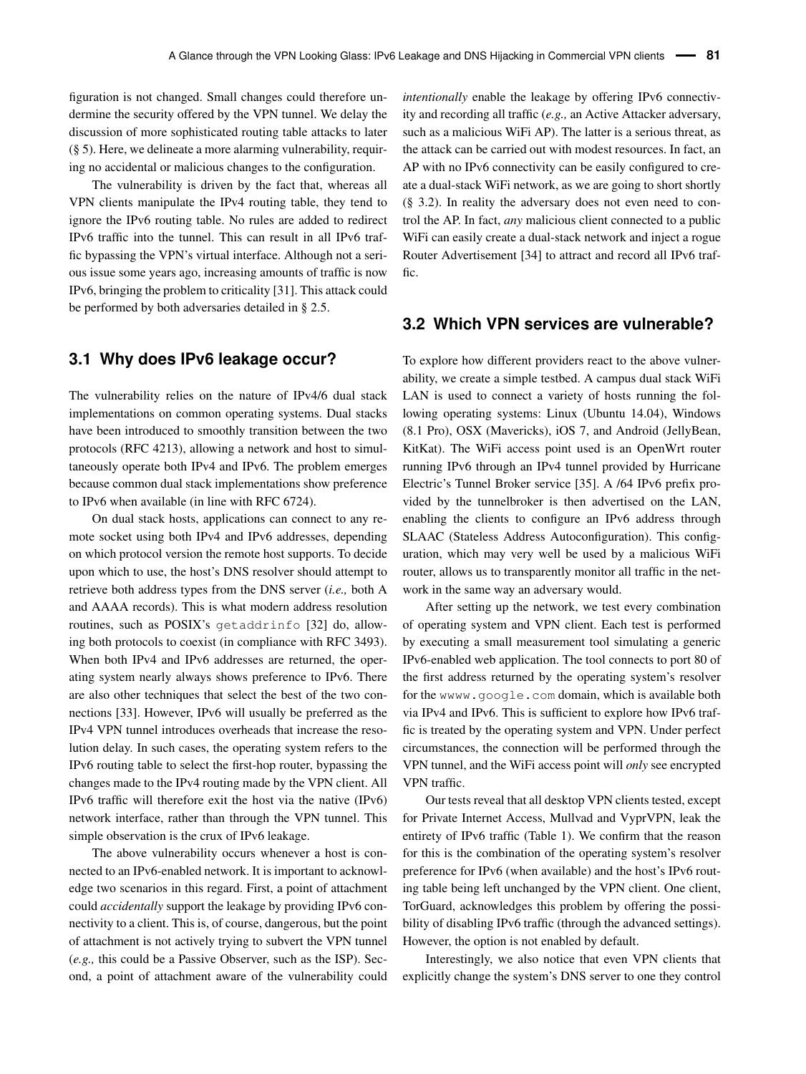figuration is not changed. Small changes could therefore undermine the security offered by the VPN tunnel. We delay the discussion of more sophisticated routing table attacks to later (§ [5\)](#page-7-0). Here, we delineate a more alarming vulnerability, requiring no accidental or malicious changes to the configuration.

The vulnerability is driven by the fact that, whereas all VPN clients manipulate the IPv4 routing table, they tend to ignore the IPv6 routing table. No rules are added to redirect IPv6 traffic into the tunnel. This can result in all IPv6 traffic bypassing the VPN's virtual interface. Although not a serious issue some years ago, increasing amounts of traffic is now IPv6, bringing the problem to criticality [\[31\]](#page-14-3). This attack could be performed by both adversaries detailed in § [2.5.](#page-3-2)

#### **3.1 Why does IPv6 leakage occur?**

The vulnerability relies on the nature of IPv4/6 dual stack implementations on common operating systems. Dual stacks have been introduced to smoothly transition between the two protocols (RFC 4213), allowing a network and host to simultaneously operate both IPv4 and IPv6. The problem emerges because common dual stack implementations show preference to IPv6 when available (in line with RFC 6724).

On dual stack hosts, applications can connect to any remote socket using both IPv4 and IPv6 addresses, depending on which protocol version the remote host supports. To decide upon which to use, the host's DNS resolver should attempt to retrieve both address types from the DNS server (*i.e.,* both A and AAAA records). This is what modern address resolution routines, such as POSIX's getaddrinfo [\[32\]](#page-14-4) do, allowing both protocols to coexist (in compliance with RFC 3493). When both IPv4 and IPv6 addresses are returned, the operating system nearly always shows preference to IPv6. There are also other techniques that select the best of the two connections [\[33\]](#page-14-5). However, IPv6 will usually be preferred as the IPv4 VPN tunnel introduces overheads that increase the resolution delay. In such cases, the operating system refers to the IPv6 routing table to select the first-hop router, bypassing the changes made to the IPv4 routing made by the VPN client. All IPv6 traffic will therefore exit the host via the native (IPv6) network interface, rather than through the VPN tunnel. This simple observation is the crux of IPv6 leakage.

The above vulnerability occurs whenever a host is connected to an IPv6-enabled network. It is important to acknowledge two scenarios in this regard. First, a point of attachment could *accidentally* support the leakage by providing IPv6 connectivity to a client. This is, of course, dangerous, but the point of attachment is not actively trying to subvert the VPN tunnel (*e.g.,* this could be a Passive Observer, such as the ISP). Second, a point of attachment aware of the vulnerability could

*intentionally* enable the leakage by offering IPv6 connectivity and recording all traffic (*e.g.,* an Active Attacker adversary, such as a malicious WiFi AP). The latter is a serious threat, as the attack can be carried out with modest resources. In fact, an AP with no IPv6 connectivity can be easily configured to create a dual-stack WiFi network, as we are going to short shortly (§ [3.2\)](#page-4-0). In reality the adversary does not even need to control the AP. In fact, *any* malicious client connected to a public WiFi can easily create a dual-stack network and inject a rogue Router Advertisement [\[34\]](#page-14-6) to attract and record all IPv6 traffic.

#### <span id="page-4-0"></span>**3.2 Which VPN services are vulnerable?**

To explore how different providers react to the above vulnerability, we create a simple testbed. A campus dual stack WiFi LAN is used to connect a variety of hosts running the following operating systems: Linux (Ubuntu 14.04), Windows (8.1 Pro), OSX (Mavericks), iOS 7, and Android (JellyBean, KitKat). The WiFi access point used is an OpenWrt router running IPv6 through an IPv4 tunnel provided by Hurricane Electric's Tunnel Broker service [\[35\]](#page-14-7). A /64 IPv6 prefix provided by the tunnelbroker is then advertised on the LAN, enabling the clients to configure an IPv6 address through SLAAC (Stateless Address Autoconfiguration). This configuration, which may very well be used by a malicious WiFi router, allows us to transparently monitor all traffic in the network in the same way an adversary would.

After setting up the network, we test every combination of operating system and VPN client. Each test is performed by executing a small measurement tool simulating a generic IPv6-enabled web application. The tool connects to port 80 of the first address returned by the operating system's resolver for the wwww.google.com domain, which is available both via IPv4 and IPv6. This is sufficient to explore how IPv6 traffic is treated by the operating system and VPN. Under perfect circumstances, the connection will be performed through the VPN tunnel, and the WiFi access point will *only* see encrypted VPN traffic.

Our tests reveal that all desktop VPN clients tested, except for Private Internet Access, Mullvad and VyprVPN, leak the entirety of IPv6 traffic (Table [1\)](#page-2-0). We confirm that the reason for this is the combination of the operating system's resolver preference for IPv6 (when available) and the host's IPv6 routing table being left unchanged by the VPN client. One client, TorGuard, acknowledges this problem by offering the possibility of disabling IPv6 traffic (through the advanced settings). However, the option is not enabled by default.

Interestingly, we also notice that even VPN clients that explicitly change the system's DNS server to one they control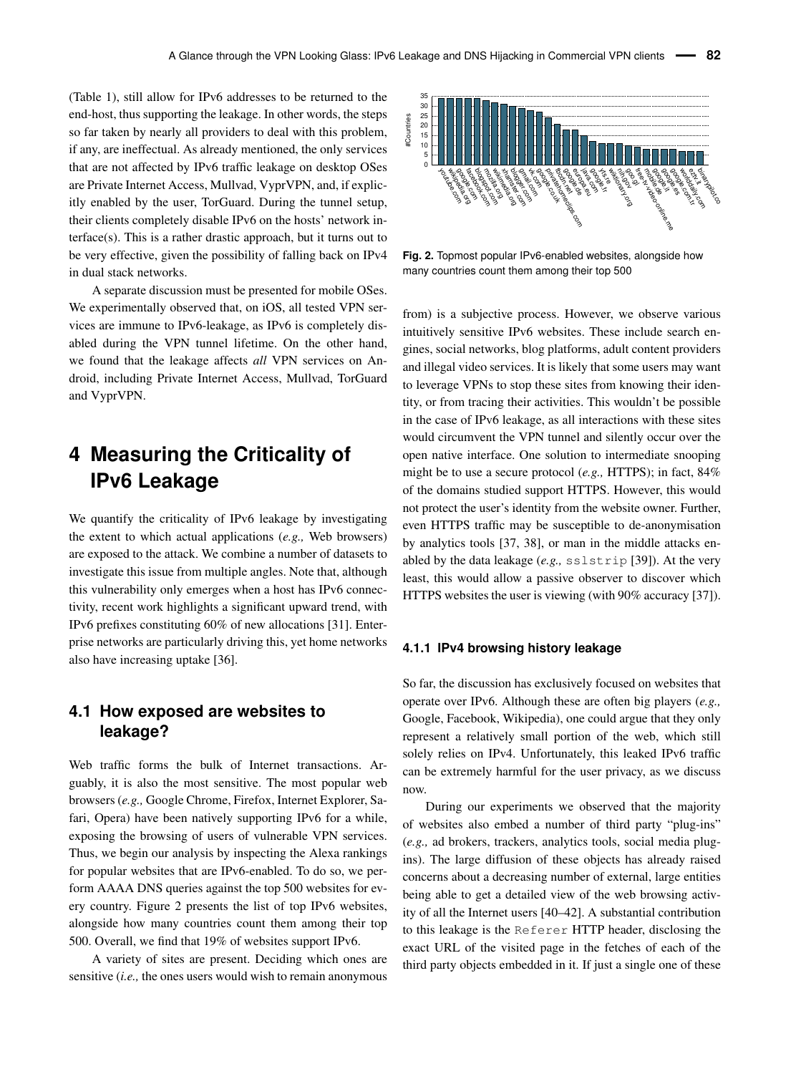(Table [1\)](#page-2-0), still allow for IPv6 addresses to be returned to the end-host, thus supporting the leakage. In other words, the steps so far taken by nearly all providers to deal with this problem, if any, are ineffectual. As already mentioned, the only services that are not affected by IPv6 traffic leakage on desktop OSes are Private Internet Access, Mullvad, VyprVPN, and, if explicitly enabled by the user, TorGuard. During the tunnel setup, their clients completely disable IPv6 on the hosts' network interface(s). This is a rather drastic approach, but it turns out to be very effective, given the possibility of falling back on IPv4 in dual stack networks.

A separate discussion must be presented for mobile OSes. We experimentally observed that, on iOS, all tested VPN services are immune to IPv6-leakage, as IPv6 is completely disabled during the VPN tunnel lifetime. On the other hand, we found that the leakage affects *all* VPN services on Android, including Private Internet Access, Mullvad, TorGuard and VyprVPN.

# <span id="page-5-0"></span>**4 Measuring the Criticality of IPv6 Leakage**

We quantify the criticality of IPv6 leakage by investigating the extent to which actual applications (*e.g.,* Web browsers) are exposed to the attack. We combine a number of datasets to investigate this issue from multiple angles. Note that, although this vulnerability only emerges when a host has IPv6 connectivity, recent work highlights a significant upward trend, with IPv6 prefixes constituting 60% of new allocations [\[31\]](#page-14-3). Enterprise networks are particularly driving this, yet home networks also have increasing uptake [\[36\]](#page-14-8).

### <span id="page-5-2"></span>**4.1 How exposed are websites to leakage?**

Web traffic forms the bulk of Internet transactions. Arguably, it is also the most sensitive. The most popular web browsers (*e.g.,* Google Chrome, Firefox, Internet Explorer, Safari, Opera) have been natively supporting IPv6 for a while, exposing the browsing of users of vulnerable VPN services. Thus, we begin our analysis by inspecting the Alexa rankings for popular websites that are IPv6-enabled. To do so, we perform AAAA DNS queries against the top 500 websites for every country. Figure [2](#page-5-1) presents the list of top IPv6 websites, alongside how many countries count them among their top 500. Overall, we find that 19% of websites support IPv6. that are not affected by Pto Farfitic leakage on desktop OSes<br>
into are ord affected by the user, TorGuard. During the tunnel setup,<br>
the ones intervent charactery disable IPv6 on the hossi tervent in<br>
the relation of the

A variety of sites are present. Deciding which ones are

<span id="page-5-1"></span>

**Fig. 2.** Topmost popular IPv6-enabled websites, alongside how many countries count them among their top 500

from) is a subjective process. However, we observe various intuitively sensitive IPv6 websites. These include search engines, social networks, blog platforms, adult content providers and illegal video services. It is likely that some users may want to leverage VPNs to stop these sites from knowing their identity, or from tracing their activities. This wouldn't be possible in the case of IPv6 leakage, as all interactions with these sites would circumvent the VPN tunnel and silently occur over the open native interface. One solution to intermediate snooping might be to use a secure protocol (*e.g.,* HTTPS); in fact, 84% of the domains studied support HTTPS. However, this would not protect the user's identity from the website owner. Further, even HTTPS traffic may be susceptible to de-anonymisation by analytics tools [\[37,](#page-14-9) [38\]](#page-14-10), or man in the middle attacks enabled by the data leakage (*e.g.,* sslstrip [\[39\]](#page-14-11)). At the very least, this would allow a passive observer to discover which HTTPS websites the user is viewing (with 90% accuracy [\[37\]](#page-14-9)).

#### **4.1.1 IPv4 browsing history leakage**

So far, the discussion has exclusively focused on websites that operate over IPv6. Although these are often big players (*e.g.,* Google, Facebook, Wikipedia), one could argue that they only represent a relatively small portion of the web, which still solely relies on IPv4. Unfortunately, this leaked IPv6 traffic can be extremely harmful for the user privacy, as we discuss now.

During our experiments we observed that the majority of websites also embed a number of third party "plug-ins" (*e.g.,* ad brokers, trackers, analytics tools, social media plugins). The large diffusion of these objects has already raised concerns about a decreasing number of external, large entities being able to get a detailed view of the web browsing activity of all the Internet users [\[40](#page-14-12)[–42\]](#page-14-13). A substantial contribution to this leakage is the Referer HTTP header, disclosing the exact URL of the visited page in the fetches of each of the third party objects embedded in it. If just a single one of these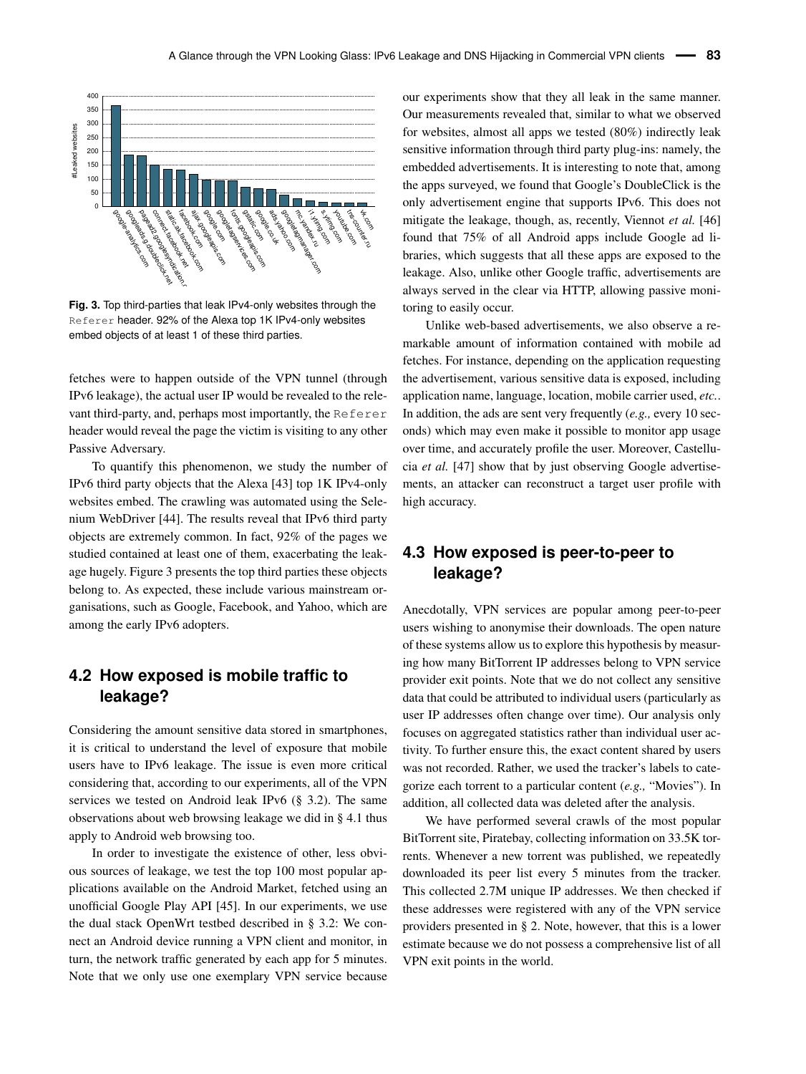<span id="page-6-0"></span>

**Fig. 3.** Top third-parties that leak IPv4-only websites through the Referer header. 92% of the Alexa top 1K IPv4-only websites embed objects of at least 1 of these third parties.

fetches were to happen outside of the VPN tunnel (through IPv6 leakage), the actual user IP would be revealed to the relevant third-party, and, perhaps most importantly, the Referer header would reveal the page the victim is visiting to any other Passive Adversary.

To quantify this phenomenon, we study the number of IPv6 third party objects that the Alexa [\[43\]](#page-14-14) top 1K IPv4-only websites embed. The crawling was automated using the Selenium WebDriver [\[44\]](#page-14-15). The results reveal that IPv6 third party objects are extremely common. In fact, 92% of the pages we studied contained at least one of them, exacerbating the leakage hugely. Figure [3](#page-6-0) presents the top third parties these objects belong to. As expected, these include various mainstream organisations, such as Google, Facebook, and Yahoo, which are among the early IPv6 adopters.

### **4.2 How exposed is mobile traffic to leakage?**

Considering the amount sensitive data stored in smartphones, it is critical to understand the level of exposure that mobile users have to IPv6 leakage. The issue is even more critical considering that, according to our experiments, all of the VPN services we tested on Android leak IPv6 (§ [3.2\)](#page-4-0). The same observations about web browsing leakage we did in § [4.1](#page-5-2) thus apply to Android web browsing too.

In order to investigate the existence of other, less obvious sources of leakage, we test the top 100 most popular applications available on the Android Market, fetched using an unofficial Google Play API [\[45\]](#page-14-16). In our experiments, we use the dual stack OpenWrt testbed described in § [3.2:](#page-4-0) We connect an Android device running a VPN client and monitor, in turn, the network traffic generated by each app for 5 minutes. Note that we only use one exemplary VPN service because

our experiments show that they all leak in the same manner. Our measurements revealed that, similar to what we observed for websites, almost all apps we tested (80%) indirectly leak sensitive information through third party plug-ins: namely, the embedded advertisements. It is interesting to note that, among the apps surveyed, we found that Google's DoubleClick is the only advertisement engine that supports IPv6. This does not mitigate the leakage, though, as, recently, Viennot *et al.* [\[46\]](#page-14-17) found that 75% of all Android apps include Google ad libraries, which suggests that all these apps are exposed to the leakage. Also, unlike other Google traffic, advertisements are always served in the clear via HTTP, allowing passive monitoring to easily occur.

Unlike web-based advertisements, we also observe a remarkable amount of information contained with mobile ad fetches. For instance, depending on the application requesting the advertisement, various sensitive data is exposed, including application name, language, location, mobile carrier used, *etc.*. In addition, the ads are sent very frequently (*e.g.,* every 10 seconds) which may even make it possible to monitor app usage over time, and accurately profile the user. Moreover, Castellucia *et al.* [\[47\]](#page-14-18) show that by just observing Google advertisements, an attacker can reconstruct a target user profile with high accuracy.

### **4.3 How exposed is peer-to-peer to leakage?**

Anecdotally, VPN services are popular among peer-to-peer users wishing to anonymise their downloads. The open nature of these systems allow us to explore this hypothesis by measuring how many BitTorrent IP addresses belong to VPN service provider exit points. Note that we do not collect any sensitive data that could be attributed to individual users (particularly as user IP addresses often change over time). Our analysis only focuses on aggregated statistics rather than individual user activity. To further ensure this, the exact content shared by users was not recorded. Rather, we used the tracker's labels to categorize each torrent to a particular content (*e.g.,* "Movies"). In addition, all collected data was deleted after the analysis.

We have performed several crawls of the most popular BitTorrent site, Piratebay, collecting information on 33.5K torrents. Whenever a new torrent was published, we repeatedly downloaded its peer list every 5 minutes from the tracker. This collected 2.7M unique IP addresses. We then checked if these addresses were registered with any of the VPN service providers presented in § [2.](#page-1-0) Note, however, that this is a lower estimate because we do not possess a comprehensive list of all VPN exit points in the world.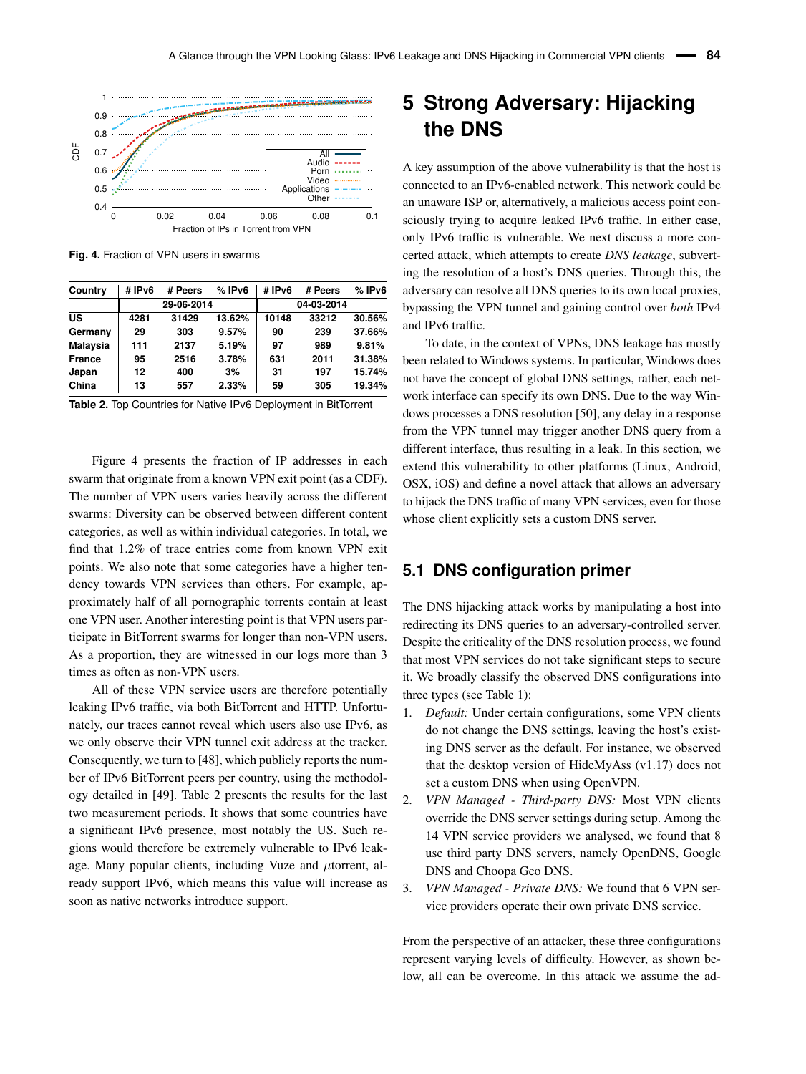<span id="page-7-1"></span>

**Fig. 4.** Fraction of VPN users in swarms

<span id="page-7-2"></span>

| Country         | #IPv6 | # Peers    | %IPv6  | #IPv6      | # Peers | %IPv6  |  |
|-----------------|-------|------------|--------|------------|---------|--------|--|
|                 |       | 29-06-2014 |        | 04-03-2014 |         |        |  |
| US              | 4281  | 31429      | 13.62% | 10148      | 33212   | 30.56% |  |
| Germany         | 29    | 303        | 9.57%  | 90         | 239     | 37.66% |  |
| <b>Malaysia</b> | 111   | 2137       | 5.19%  | 97         | 989     | 9.81%  |  |
| <b>France</b>   | 95    | 2516       | 3.78%  | 631        | 2011    | 31.38% |  |
| Japan           | 12    | 400        | 3%     | 31         | 197     | 15.74% |  |
| China           | 13    | 557        | 2.33%  | 59         | 305     | 19.34% |  |

**Table 2.** Top Countries for Native IPv6 Deployment in BitTorrent

Figure [4](#page-7-1) presents the fraction of IP addresses in each swarm that originate from a known VPN exit point (as a CDF). The number of VPN users varies heavily across the different swarms: Diversity can be observed between different content categories, as well as within individual categories. In total, we find that 1.2% of trace entries come from known VPN exit points. We also note that some categories have a higher tendency towards VPN services than others. For example, approximately half of all pornographic torrents contain at least one VPN user. Another interesting point is that VPN users participate in BitTorrent swarms for longer than non-VPN users. As a proportion, they are witnessed in our logs more than 3 times as often as non-VPN users.

All of these VPN service users are therefore potentially leaking IPv6 traffic, via both BitTorrent and HTTP. Unfortunately, our traces cannot reveal which users also use IPv6, as we only observe their VPN tunnel exit address at the tracker. Consequently, we turn to [\[48\]](#page-14-19), which publicly reports the number of IPv6 BitTorrent peers per country, using the methodology detailed in [\[49\]](#page-14-20). Table [2](#page-7-2) presents the results for the last two measurement periods. It shows that some countries have a significant IPv6 presence, most notably the US. Such regions would therefore be extremely vulnerable to IPv6 leakage. Many popular clients, including Vuze and *µ*torrent, already support IPv6, which means this value will increase as soon as native networks introduce support.

# <span id="page-7-0"></span>**5 Strong Adversary: Hijacking the DNS**

A key assumption of the above vulnerability is that the host is connected to an IPv6-enabled network. This network could be an unaware ISP or, alternatively, a malicious access point consciously trying to acquire leaked IPv6 traffic. In either case, only IPv6 traffic is vulnerable. We next discuss a more concerted attack, which attempts to create *DNS leakage*, subverting the resolution of a host's DNS queries. Through this, the adversary can resolve all DNS queries to its own local proxies, bypassing the VPN tunnel and gaining control over *both* IPv4 and IPv6 traffic.

To date, in the context of VPNs, DNS leakage has mostly been related to Windows systems. In particular, Windows does not have the concept of global DNS settings, rather, each network interface can specify its own DNS. Due to the way Windows processes a DNS resolution [\[50\]](#page-14-21), any delay in a response from the VPN tunnel may trigger another DNS query from a different interface, thus resulting in a leak. In this section, we extend this vulnerability to other platforms (Linux, Android, OSX, iOS) and define a novel attack that allows an adversary to hijack the DNS traffic of many VPN services, even for those whose client explicitly sets a custom DNS server.

#### **5.1 DNS configuration primer**

The DNS hijacking attack works by manipulating a host into redirecting its DNS queries to an adversary-controlled server. Despite the criticality of the DNS resolution process, we found that most VPN services do not take significant steps to secure it. We broadly classify the observed DNS configurations into three types (see Table [1\)](#page-2-0):

- 1. *Default:* Under certain configurations, some VPN clients do not change the DNS settings, leaving the host's existing DNS server as the default. For instance, we observed that the desktop version of HideMyAss (v1.17) does not set a custom DNS when using OpenVPN.
- 2. *VPN Managed Third-party DNS:* Most VPN clients override the DNS server settings during setup. Among the 14 VPN service providers we analysed, we found that 8 use third party DNS servers, namely OpenDNS, Google DNS and Choopa Geo DNS.
- 3. *VPN Managed Private DNS:* We found that 6 VPN service providers operate their own private DNS service.

From the perspective of an attacker, these three configurations represent varying levels of difficulty. However, as shown below, all can be overcome. In this attack we assume the ad-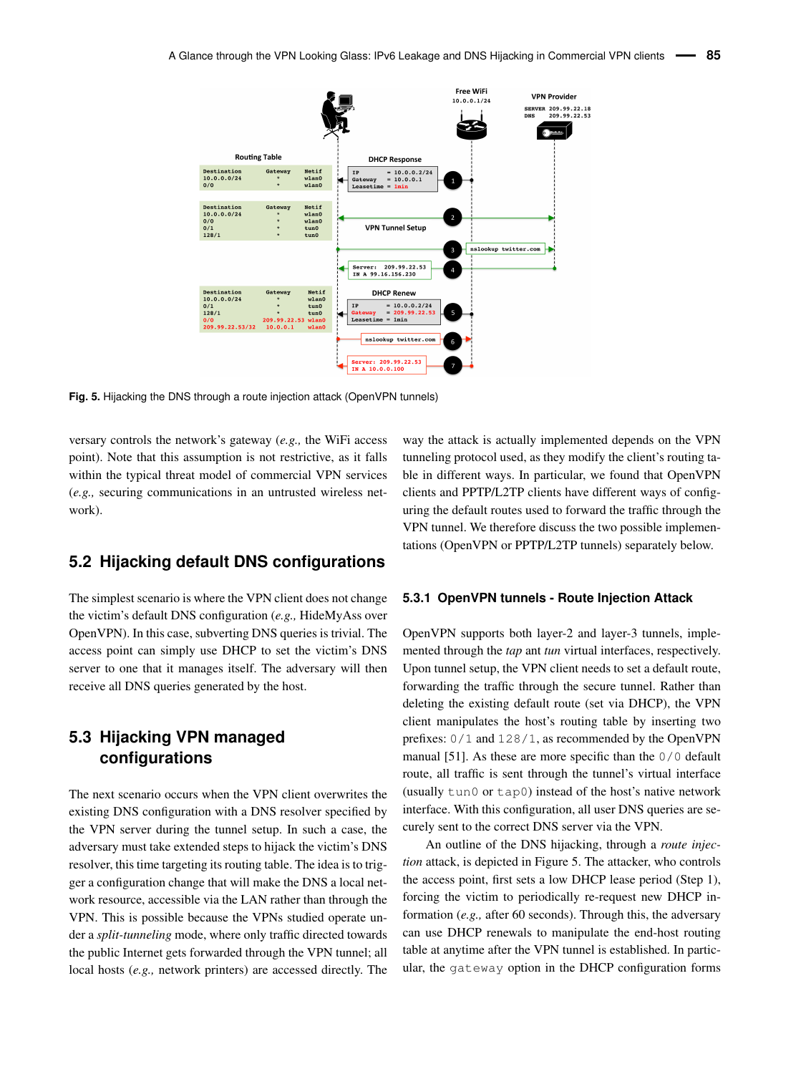<span id="page-8-0"></span>

**Fig. 5.** Hijacking the DNS through a route injection attack (OpenVPN tunnels)

versary controls the network's gateway (*e.g.,* the WiFi access point). Note that this assumption is not restrictive, as it falls within the typical threat model of commercial VPN services (*e.g.,* securing communications in an untrusted wireless network).

### **5.2 Hijacking default DNS configurations**

The simplest scenario is where the VPN client does not change the victim's default DNS configuration (*e.g.,* HideMyAss over OpenVPN). In this case, subverting DNS queries is trivial. The access point can simply use DHCP to set the victim's DNS server to one that it manages itself. The adversary will then receive all DNS queries generated by the host.

### **5.3 Hijacking VPN managed configurations**

The next scenario occurs when the VPN client overwrites the existing DNS configuration with a DNS resolver specified by the VPN server during the tunnel setup. In such a case, the adversary must take extended steps to hijack the victim's DNS resolver, this time targeting its routing table. The idea is to trigger a configuration change that will make the DNS a local network resource, accessible via the LAN rather than through the VPN. This is possible because the VPNs studied operate under a *split-tunneling* mode, where only traffic directed towards the public Internet gets forwarded through the VPN tunnel; all local hosts (*e.g.,* network printers) are accessed directly. The

way the attack is actually implemented depends on the VPN tunneling protocol used, as they modify the client's routing table in different ways. In particular, we found that OpenVPN clients and PPTP/L2TP clients have different ways of configuring the default routes used to forward the traffic through the VPN tunnel. We therefore discuss the two possible implementations (OpenVPN or PPTP/L2TP tunnels) separately below.

#### <span id="page-8-1"></span>**5.3.1 OpenVPN tunnels - Route Injection Attack**

OpenVPN supports both layer-2 and layer-3 tunnels, implemented through the *tap* ant *tun* virtual interfaces, respectively. Upon tunnel setup, the VPN client needs to set a default route, forwarding the traffic through the secure tunnel. Rather than deleting the existing default route (set via DHCP), the VPN client manipulates the host's routing table by inserting two prefixes: 0/1 and 128/1, as recommended by the OpenVPN manual [\[51\]](#page-14-22). As these are more specific than the 0/0 default route, all traffic is sent through the tunnel's virtual interface (usually tun0 or tap0) instead of the host's native network interface. With this configuration, all user DNS queries are securely sent to the correct DNS server via the VPN.

An outline of the DNS hijacking, through a *route injection* attack, is depicted in Figure [5.](#page-8-0) The attacker, who controls the access point, first sets a low DHCP lease period (Step 1), forcing the victim to periodically re-request new DHCP information (*e.g.,* after 60 seconds). Through this, the adversary can use DHCP renewals to manipulate the end-host routing table at anytime after the VPN tunnel is established. In particular, the gateway option in the DHCP configuration forms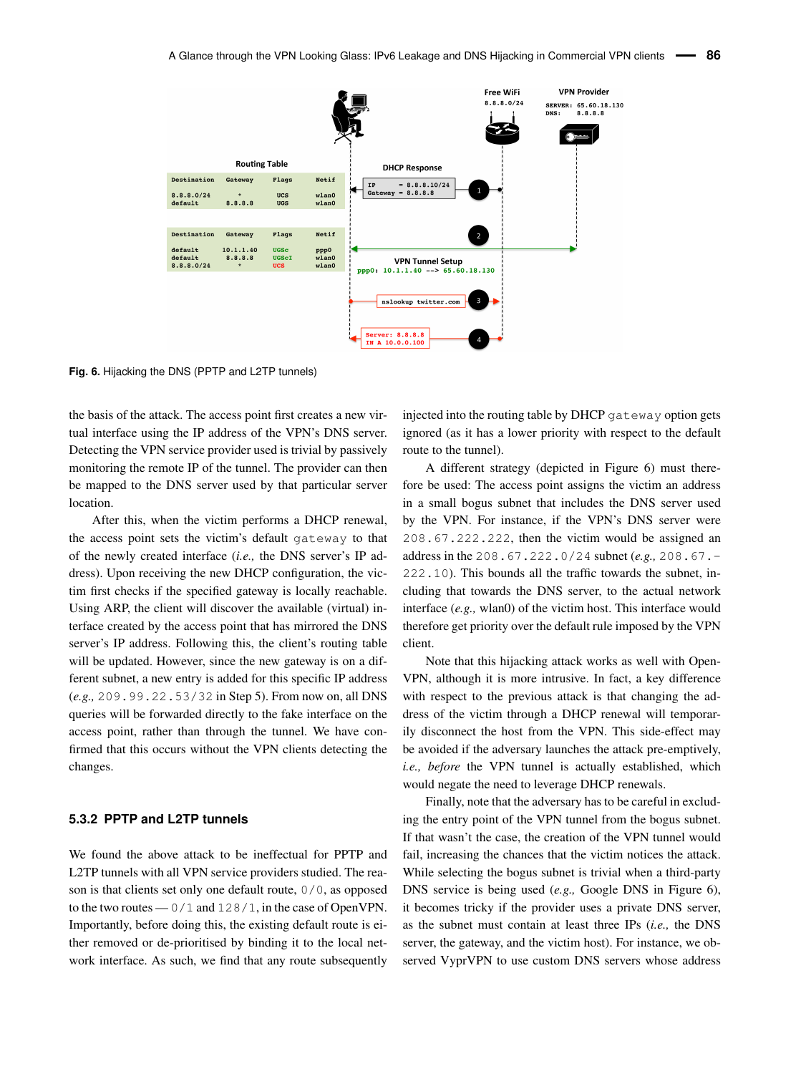<span id="page-9-0"></span>

**Fig. 6.** Hijacking the DNS (PPTP and L2TP tunnels)

the basis of the attack. The access point first creates a new virtual interface using the IP address of the VPN's DNS server. Detecting the VPN service provider used is trivial by passively monitoring the remote IP of the tunnel. The provider can then be mapped to the DNS server used by that particular server location.

After this, when the victim performs a DHCP renewal, the access point sets the victim's default gateway to that of the newly created interface (*i.e.,* the DNS server's IP address). Upon receiving the new DHCP configuration, the victim first checks if the specified gateway is locally reachable. Using ARP, the client will discover the available (virtual) interface created by the access point that has mirrored the DNS server's IP address. Following this, the client's routing table will be updated. However, since the new gateway is on a different subnet, a new entry is added for this specific IP address (*e.g.,* 209.99.22.53/32 in Step 5). From now on, all DNS queries will be forwarded directly to the fake interface on the access point, rather than through the tunnel. We have confirmed that this occurs without the VPN clients detecting the changes.

#### <span id="page-9-1"></span>**5.3.2 PPTP and L2TP tunnels**

We found the above attack to be ineffectual for PPTP and L2TP tunnels with all VPN service providers studied. The reason is that clients set only one default route, 0/0, as opposed to the two routes — 0/1 and 128/1, in the case of OpenVPN. Importantly, before doing this, the existing default route is either removed or de-prioritised by binding it to the local network interface. As such, we find that any route subsequently

injected into the routing table by DHCP gateway option gets ignored (as it has a lower priority with respect to the default route to the tunnel).

A different strategy (depicted in Figure [6\)](#page-9-0) must therefore be used: The access point assigns the victim an address in a small bogus subnet that includes the DNS server used by the VPN. For instance, if the VPN's DNS server were 208.67.222.222, then the victim would be assigned an address in the 208.67.222.0/24 subnet (*e.g.,* 208.67.- 222.10). This bounds all the traffic towards the subnet, including that towards the DNS server, to the actual network interface (*e.g.,* wlan0) of the victim host. This interface would therefore get priority over the default rule imposed by the VPN client.

Note that this hijacking attack works as well with Open-VPN, although it is more intrusive. In fact, a key difference with respect to the previous attack is that changing the address of the victim through a DHCP renewal will temporarily disconnect the host from the VPN. This side-effect may be avoided if the adversary launches the attack pre-emptively, *i.e., before* the VPN tunnel is actually established, which would negate the need to leverage DHCP renewals.

Finally, note that the adversary has to be careful in excluding the entry point of the VPN tunnel from the bogus subnet. If that wasn't the case, the creation of the VPN tunnel would fail, increasing the chances that the victim notices the attack. While selecting the bogus subnet is trivial when a third-party DNS service is being used (*e.g.,* Google DNS in Figure [6\)](#page-9-0), it becomes tricky if the provider uses a private DNS server, as the subnet must contain at least three IPs (*i.e.,* the DNS server, the gateway, and the victim host). For instance, we observed VyprVPN to use custom DNS servers whose address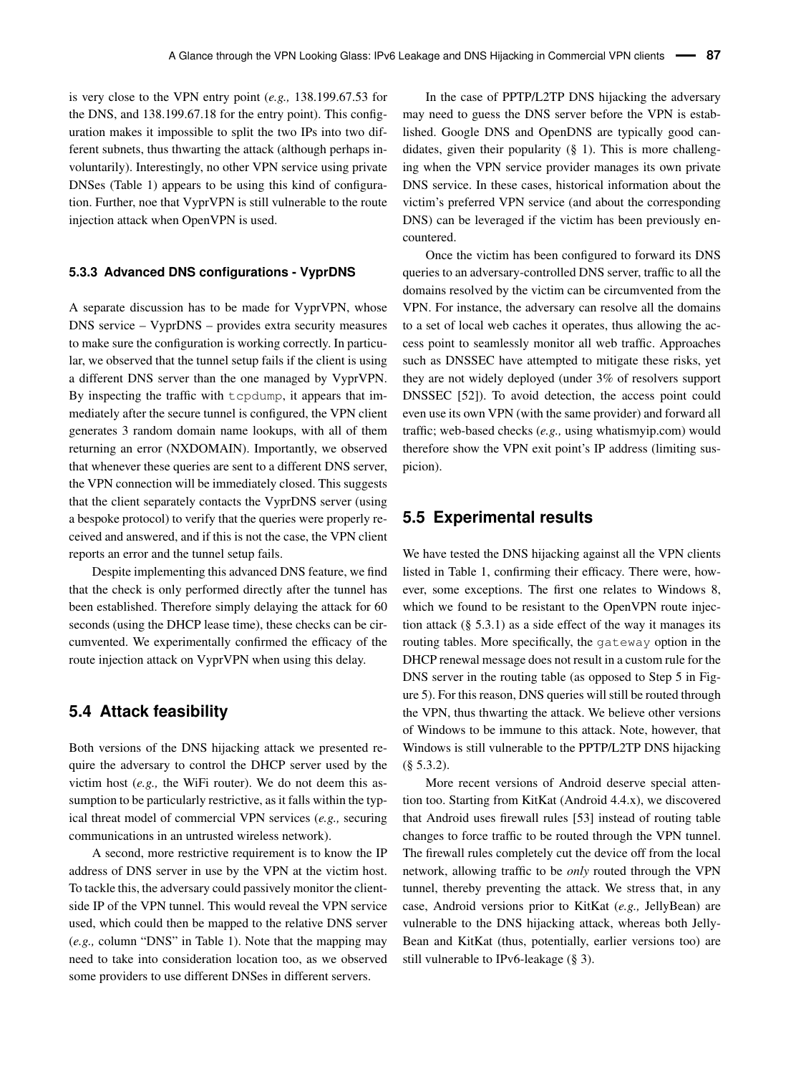is very close to the VPN entry point (*e.g.,* 138.199.67.53 for the DNS, and 138.199.67.18 for the entry point). This configuration makes it impossible to split the two IPs into two different subnets, thus thwarting the attack (although perhaps involuntarily). Interestingly, no other VPN service using private DNSes (Table [1\)](#page-2-0) appears to be using this kind of configuration. Further, noe that VyprVPN is still vulnerable to the route injection attack when OpenVPN is used.

#### **5.3.3 Advanced DNS configurations - VyprDNS**

A separate discussion has to be made for VyprVPN, whose DNS service – VyprDNS – provides extra security measures to make sure the configuration is working correctly. In particular, we observed that the tunnel setup fails if the client is using a different DNS server than the one managed by VyprVPN. By inspecting the traffic with tcpdump, it appears that immediately after the secure tunnel is configured, the VPN client generates 3 random domain name lookups, with all of them returning an error (NXDOMAIN). Importantly, we observed that whenever these queries are sent to a different DNS server, the VPN connection will be immediately closed. This suggests that the client separately contacts the VyprDNS server (using a bespoke protocol) to verify that the queries were properly received and answered, and if this is not the case, the VPN client reports an error and the tunnel setup fails.

Despite implementing this advanced DNS feature, we find that the check is only performed directly after the tunnel has been established. Therefore simply delaying the attack for 60 seconds (using the DHCP lease time), these checks can be circumvented. We experimentally confirmed the efficacy of the route injection attack on VyprVPN when using this delay.

#### **5.4 Attack feasibility**

Both versions of the DNS hijacking attack we presented require the adversary to control the DHCP server used by the victim host (*e.g.,* the WiFi router). We do not deem this assumption to be particularly restrictive, as it falls within the typical threat model of commercial VPN services (*e.g.,* securing communications in an untrusted wireless network).

A second, more restrictive requirement is to know the IP address of DNS server in use by the VPN at the victim host. To tackle this, the adversary could passively monitor the clientside IP of the VPN tunnel. This would reveal the VPN service used, which could then be mapped to the relative DNS server (*e.g.,* column "DNS" in Table [1\)](#page-2-0). Note that the mapping may need to take into consideration location too, as we observed some providers to use different DNSes in different servers.

In the case of PPTP/L2TP DNS hijacking the adversary may need to guess the DNS server before the VPN is established. Google DNS and OpenDNS are typically good candidates, given their popularity (§ [1\)](#page-2-0). This is more challenging when the VPN service provider manages its own private DNS service. In these cases, historical information about the victim's preferred VPN service (and about the corresponding DNS) can be leveraged if the victim has been previously encountered.

Once the victim has been configured to forward its DNS queries to an adversary-controlled DNS server, traffic to all the domains resolved by the victim can be circumvented from the VPN. For instance, the adversary can resolve all the domains to a set of local web caches it operates, thus allowing the access point to seamlessly monitor all web traffic. Approaches such as DNSSEC have attempted to mitigate these risks, yet they are not widely deployed (under 3% of resolvers support DNSSEC [\[52\]](#page-14-23)). To avoid detection, the access point could even use its own VPN (with the same provider) and forward all traffic; web-based checks (*e.g.,* using [whatismyip.com\)](whatismyip.com) would therefore show the VPN exit point's IP address (limiting suspicion).

#### <span id="page-10-0"></span>**5.5 Experimental results**

We have tested the DNS hijacking against all the VPN clients listed in Table [1,](#page-2-0) confirming their efficacy. There were, however, some exceptions. The first one relates to Windows 8, which we found to be resistant to the OpenVPN route injection attack  $(\S 5.3.1)$  $(\S 5.3.1)$  as a side effect of the way it manages its routing tables. More specifically, the gateway option in the DHCP renewal message does not result in a custom rule for the DNS server in the routing table (as opposed to Step 5 in Figure [5\)](#page-8-0). For this reason, DNS queries will still be routed through the VPN, thus thwarting the attack. We believe other versions of Windows to be immune to this attack. Note, however, that Windows is still vulnerable to the PPTP/L2TP DNS hijacking (§ [5.3.2\)](#page-9-1).

More recent versions of Android deserve special attention too. Starting from KitKat (Android 4.4.x), we discovered that Android uses firewall rules [\[53\]](#page-14-24) instead of routing table changes to force traffic to be routed through the VPN tunnel. The firewall rules completely cut the device off from the local network, allowing traffic to be *only* routed through the VPN tunnel, thereby preventing the attack. We stress that, in any case, Android versions prior to KitKat (*e.g.,* JellyBean) are vulnerable to the DNS hijacking attack, whereas both Jelly-Bean and KitKat (thus, potentially, earlier versions too) are still vulnerable to IPv6-leakage (§ [3\)](#page-3-0).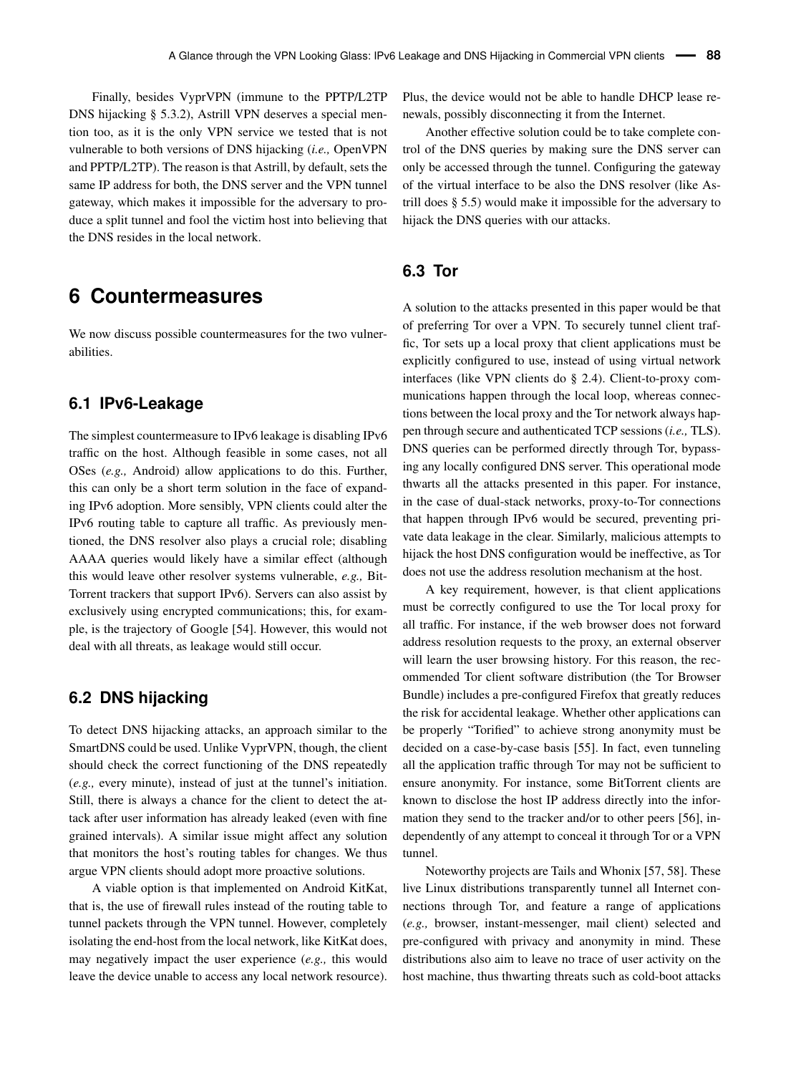Finally, besides VyprVPN (immune to the PPTP/L2TP DNS hijacking § [5.3.2\)](#page-9-1), Astrill VPN deserves a special mention too, as it is the only VPN service we tested that is not vulnerable to both versions of DNS hijacking (*i.e.,* OpenVPN and PPTP/L2TP). The reason is that Astrill, by default, sets the same IP address for both, the DNS server and the VPN tunnel gateway, which makes it impossible for the adversary to produce a split tunnel and fool the victim host into believing that the DNS resides in the local network.

### <span id="page-11-0"></span>**6 Countermeasures**

We now discuss possible countermeasures for the two vulnerabilities.

#### **6.1 IPv6-Leakage**

The simplest countermeasure to IPv6 leakage is disabling IPv6 traffic on the host. Although feasible in some cases, not all OSes (*e.g.,* Android) allow applications to do this. Further, this can only be a short term solution in the face of expanding IPv6 adoption. More sensibly, VPN clients could alter the IPv6 routing table to capture all traffic. As previously mentioned, the DNS resolver also plays a crucial role; disabling AAAA queries would likely have a similar effect (although this would leave other resolver systems vulnerable, *e.g.,* Bit-Torrent trackers that support IPv6). Servers can also assist by exclusively using encrypted communications; this, for example, is the trajectory of Google [\[54\]](#page-14-25). However, this would not deal with all threats, as leakage would still occur.

#### **6.2 DNS hijacking**

To detect DNS hijacking attacks, an approach similar to the SmartDNS could be used. Unlike VyprVPN, though, the client should check the correct functioning of the DNS repeatedly (*e.g.,* every minute), instead of just at the tunnel's initiation. Still, there is always a chance for the client to detect the attack after user information has already leaked (even with fine grained intervals). A similar issue might affect any solution that monitors the host's routing tables for changes. We thus argue VPN clients should adopt more proactive solutions.

A viable option is that implemented on Android KitKat, that is, the use of firewall rules instead of the routing table to tunnel packets through the VPN tunnel. However, completely isolating the end-host from the local network, like KitKat does, may negatively impact the user experience (*e.g.,* this would leave the device unable to access any local network resource).

Plus, the device would not be able to handle DHCP lease renewals, possibly disconnecting it from the Internet.

Another effective solution could be to take complete control of the DNS queries by making sure the DNS server can only be accessed through the tunnel. Configuring the gateway of the virtual interface to be also the DNS resolver (like Astrill does § [5.5\)](#page-10-0) would make it impossible for the adversary to hijack the DNS queries with our attacks.

### **6.3 Tor**

A solution to the attacks presented in this paper would be that of preferring Tor over a VPN. To securely tunnel client traffic, Tor sets up a local proxy that client applications must be explicitly configured to use, instead of using virtual network interfaces (like VPN clients do § [2.4\)](#page-3-1). Client-to-proxy communications happen through the local loop, whereas connections between the local proxy and the Tor network always happen through secure and authenticated TCP sessions (*i.e.,* TLS). DNS queries can be performed directly through Tor, bypassing any locally configured DNS server. This operational mode thwarts all the attacks presented in this paper. For instance, in the case of dual-stack networks, proxy-to-Tor connections that happen through IPv6 would be secured, preventing private data leakage in the clear. Similarly, malicious attempts to hijack the host DNS configuration would be ineffective, as Tor does not use the address resolution mechanism at the host.

A key requirement, however, is that client applications must be correctly configured to use the Tor local proxy for all traffic. For instance, if the web browser does not forward address resolution requests to the proxy, an external observer will learn the user browsing history. For this reason, the recommended Tor client software distribution (the Tor Browser Bundle) includes a pre-configured Firefox that greatly reduces the risk for accidental leakage. Whether other applications can be properly "Torified" to achieve strong anonymity must be decided on a case-by-case basis [\[55\]](#page-14-26). In fact, even tunneling all the application traffic through Tor may not be sufficient to ensure anonymity. For instance, some BitTorrent clients are known to disclose the host IP address directly into the information they send to the tracker and/or to other peers [\[56\]](#page-14-27), independently of any attempt to conceal it through Tor or a VPN tunnel.

Noteworthy projects are Tails and Whonix [\[57,](#page-14-28) [58\]](#page-14-29). These live Linux distributions transparently tunnel all Internet connections through Tor, and feature a range of applications (*e.g.,* browser, instant-messenger, mail client) selected and pre-configured with privacy and anonymity in mind. These distributions also aim to leave no trace of user activity on the host machine, thus thwarting threats such as cold-boot attacks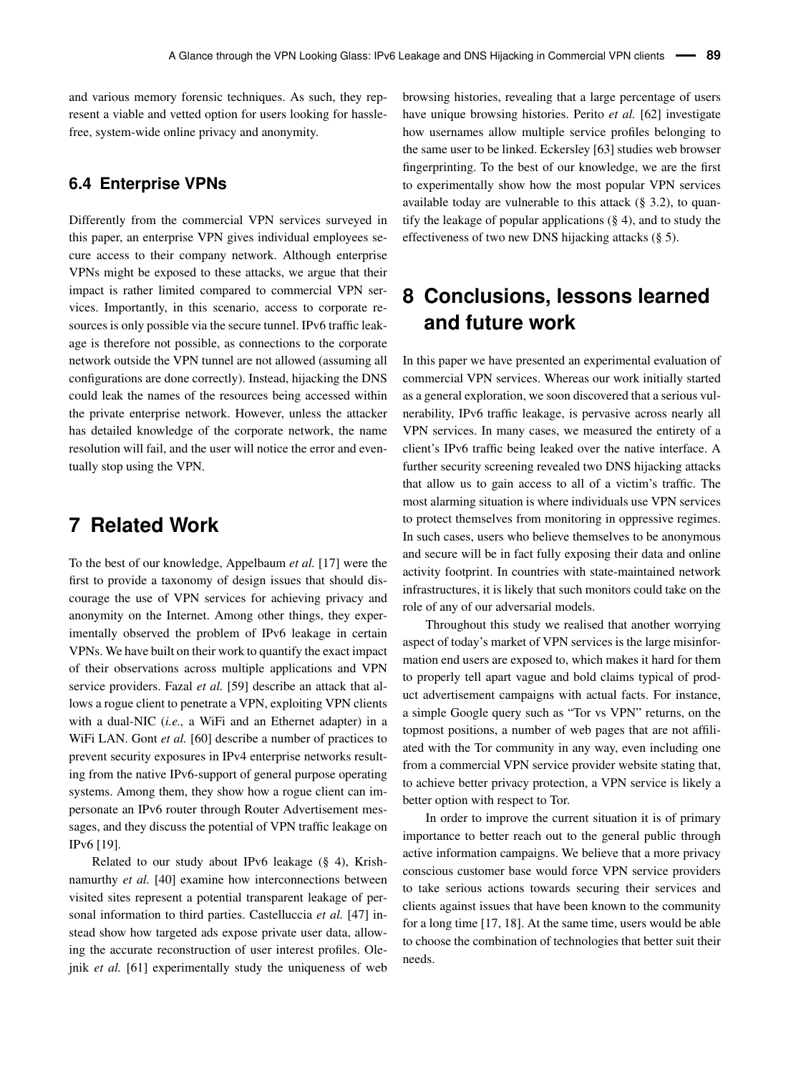and various memory forensic techniques. As such, they represent a viable and vetted option for users looking for hasslefree, system-wide online privacy and anonymity.

#### **6.4 Enterprise VPNs**

Differently from the commercial VPN services surveyed in this paper, an enterprise VPN gives individual employees secure access to their company network. Although enterprise VPNs might be exposed to these attacks, we argue that their impact is rather limited compared to commercial VPN services. Importantly, in this scenario, access to corporate resources is only possible via the secure tunnel. IPv6 traffic leakage is therefore not possible, as connections to the corporate network outside the VPN tunnel are not allowed (assuming all configurations are done correctly). Instead, hijacking the DNS could leak the names of the resources being accessed within the private enterprise network. However, unless the attacker has detailed knowledge of the corporate network, the name resolution will fail, and the user will notice the error and eventually stop using the VPN.

### **7 Related Work**

To the best of our knowledge, Appelbaum *et al.* [\[17\]](#page-13-13) were the first to provide a taxonomy of design issues that should discourage the use of VPN services for achieving privacy and anonymity on the Internet. Among other things, they experimentally observed the problem of IPv6 leakage in certain VPNs. We have built on their work to quantify the exact impact of their observations across multiple applications and VPN service providers. Fazal *et al.* [\[59\]](#page-14-30) describe an attack that allows a rogue client to penetrate a VPN, exploiting VPN clients with a dual-NIC (*i.e.,* a WiFi and an Ethernet adapter) in a WiFi LAN. Gont *et al.* [\[60\]](#page-14-31) describe a number of practices to prevent security exposures in IPv4 enterprise networks resulting from the native IPv6-support of general purpose operating systems. Among them, they show how a rogue client can impersonate an IPv6 router through Router Advertisement messages, and they discuss the potential of VPN traffic leakage on IPv6 [\[19\]](#page-13-18).

Related to our study about IPv6 leakage (§ [4\)](#page-5-0), Krishnamurthy *et al.* [\[40\]](#page-14-12) examine how interconnections between visited sites represent a potential transparent leakage of personal information to third parties. Castelluccia *et al.* [\[47\]](#page-14-18) instead show how targeted ads expose private user data, allowing the accurate reconstruction of user interest profiles. Olejnik *et al.* [\[61\]](#page-14-32) experimentally study the uniqueness of web browsing histories, revealing that a large percentage of users have unique browsing histories. Perito *et al.* [\[62\]](#page-14-33) investigate how usernames allow multiple service profiles belonging to the same user to be linked. Eckersley [\[63\]](#page-14-34) studies web browser fingerprinting. To the best of our knowledge, we are the first to experimentally show how the most popular VPN services available today are vulnerable to this attack (§ [3.2\)](#page-4-0), to quantify the leakage of popular applications (§ [4\)](#page-5-0), and to study the effectiveness of two new DNS hijacking attacks (§ [5\)](#page-7-0).

# **8 Conclusions, lessons learned and future work**

In this paper we have presented an experimental evaluation of commercial VPN services. Whereas our work initially started as a general exploration, we soon discovered that a serious vulnerability, IPv6 traffic leakage, is pervasive across nearly all VPN services. In many cases, we measured the entirety of a client's IPv6 traffic being leaked over the native interface. A further security screening revealed two DNS hijacking attacks that allow us to gain access to all of a victim's traffic. The most alarming situation is where individuals use VPN services to protect themselves from monitoring in oppressive regimes. In such cases, users who believe themselves to be anonymous and secure will be in fact fully exposing their data and online activity footprint. In countries with state-maintained network infrastructures, it is likely that such monitors could take on the role of any of our adversarial models.

Throughout this study we realised that another worrying aspect of today's market of VPN services is the large misinformation end users are exposed to, which makes it hard for them to properly tell apart vague and bold claims typical of product advertisement campaigns with actual facts. For instance, a simple Google query such as "Tor vs VPN" returns, on the topmost positions, a number of web pages that are not affiliated with the Tor community in any way, even including one from a commercial VPN service provider website stating that, to achieve better privacy protection, a VPN service is likely a better option with respect to Tor.

In order to improve the current situation it is of primary importance to better reach out to the general public through active information campaigns. We believe that a more privacy conscious customer base would force VPN service providers to take serious actions towards securing their services and clients against issues that have been known to the community for a long time [\[17,](#page-13-13) [18\]](#page-13-14). At the same time, users would be able to choose the combination of technologies that better suit their needs.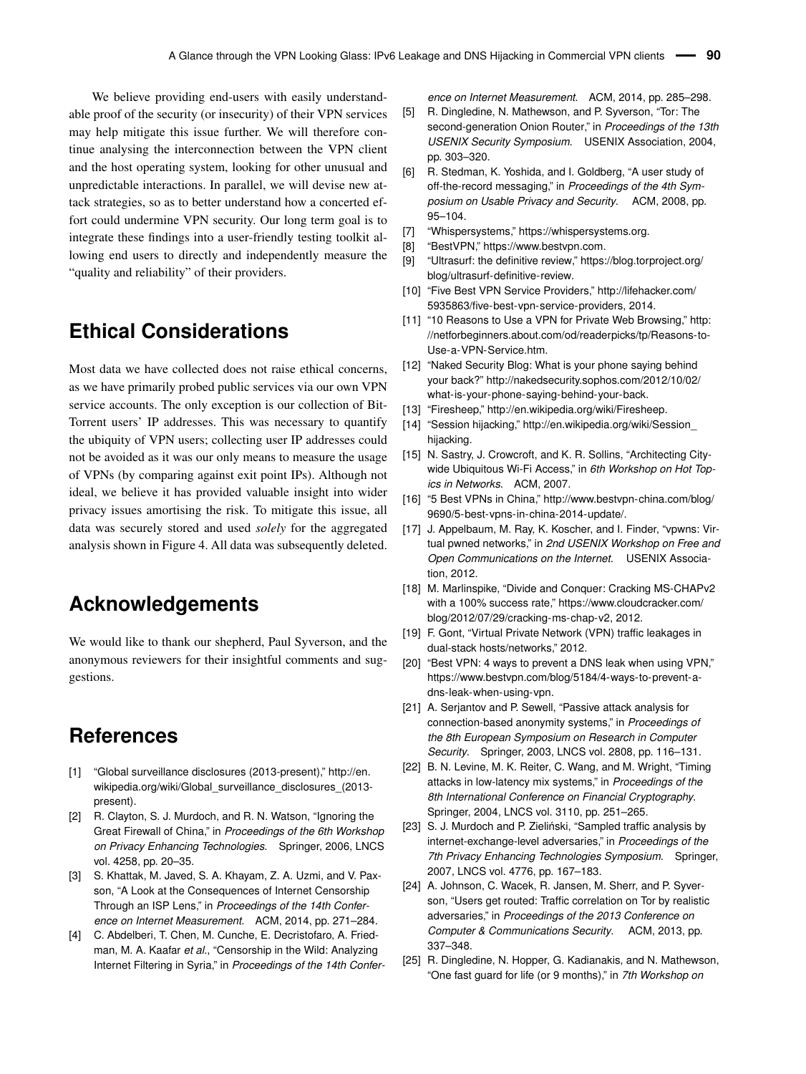We believe providing end-users with easily understandable proof of the security (or insecurity) of their VPN services may help mitigate this issue further. We will therefore continue analysing the interconnection between the VPN client and the host operating system, looking for other unusual and unpredictable interactions. In parallel, we will devise new attack strategies, so as to better understand how a concerted effort could undermine VPN security. Our long term goal is to integrate these findings into a user-friendly testing toolkit allowing end users to directly and independently measure the "quality and reliability" of their providers.

## **Ethical Considerations**

Most data we have collected does not raise ethical concerns, as we have primarily probed public services via our own VPN service accounts. The only exception is our collection of Bit-Torrent users' IP addresses. This was necessary to quantify the ubiquity of VPN users; collecting user IP addresses could not be avoided as it was our only means to measure the usage of VPNs (by comparing against exit point IPs). Although not ideal, we believe it has provided valuable insight into wider privacy issues amortising the risk. To mitigate this issue, all data was securely stored and used *solely* for the aggregated analysis shown in Figure [4.](#page-7-1) All data was subsequently deleted.

## **Acknowledgements**

We would like to thank our shepherd, Paul Syverson, and the anonymous reviewers for their insightful comments and suggestions.

### **References**

- <span id="page-13-0"></span>[1] "Global surveillance disclosures (2013-present)," [http://en.](http://en.wikipedia.org/wiki/Global_surveillance_disclosures_(2013-present)) [wikipedia.org/wiki/Global\\_surveillance\\_disclosures\\_\(2013](http://en.wikipedia.org/wiki/Global_surveillance_disclosures_(2013-present)) [present\).](http://en.wikipedia.org/wiki/Global_surveillance_disclosures_(2013-present))
- <span id="page-13-1"></span>[2] R. Clayton, S. J. Murdoch, and R. N. Watson, "Ignoring the Great Firewall of China," in *Proceedings of the 6th Workshop on Privacy Enhancing Technologies*. Springer, 2006, LNCS vol. 4258, pp. 20–35.
- <span id="page-13-12"></span>[3] S. Khattak, M. Javed, S. A. Khayam, Z. A. Uzmi, and V. Paxson, "A Look at the Consequences of Internet Censorship Through an ISP Lens," in *Proceedings of the 14th Conference on Internet Measurement*. ACM, 2014, pp. 271–284.
- <span id="page-13-2"></span>[4] C. Abdelberi, T. Chen, M. Cunche, E. Decristofaro, A. Friedman, M. A. Kaafar *et al.*, "Censorship in the Wild: Analyzing Internet Filtering in Syria," in *Proceedings of the 14th Confer-*

*ence on Internet Measurement*. ACM, 2014, pp. 285–298.

- <span id="page-13-3"></span>[5] R. Dingledine, N. Mathewson, and P. Syverson, "Tor: The second-generation Onion Router," in *Proceedings of the 13th USENIX Security Symposium*. USENIX Association, 2004, pp. 303–320.
- [6] R. Stedman, K. Yoshida, and I. Goldberg, "A user study of off-the-record messaging," in *Proceedings of the 4th Symposium on Usable Privacy and Security*. ACM, 2008, pp. 95–104.
- [7] "Whispersystems," [https://whispersystems.org.](https://whispersystems.org)
- <span id="page-13-5"></span>[8] "BestVPN," [https://www.bestvpn.com.](https://www.bestvpn.com)
- <span id="page-13-4"></span>[9] "Ultrasurf: the definitive review," [https://blog.torproject.org/](https://blog.torproject.org/blog/ultrasurf-definitive-review) [blog/ultrasurf-definitive-review.](https://blog.torproject.org/blog/ultrasurf-definitive-review)
- <span id="page-13-6"></span>[10] "Five Best VPN Service Providers," [http://lifehacker.com/](http://lifehacker.com/5935863/five-best-vpn-service-providers) [5935863/five-best-vpn-service-providers,](http://lifehacker.com/5935863/five-best-vpn-service-providers) 2014.
- <span id="page-13-7"></span>[11] "10 Reasons to Use a VPN for Private Web Browsing," [http:](http://netforbeginners.about.com/od/readerpicks/tp/Reasons-to-Use-a-VPN-Service.htm) [//netforbeginners.about.com/od/readerpicks/tp/Reasons-to-](http://netforbeginners.about.com/od/readerpicks/tp/Reasons-to-Use-a-VPN-Service.htm)[Use-a-VPN-Service.htm.](http://netforbeginners.about.com/od/readerpicks/tp/Reasons-to-Use-a-VPN-Service.htm)
- <span id="page-13-8"></span>[12] "Naked Security Blog: What is your phone saying behind your back?" [http://nakedsecurity.sophos.com/2012/10/02/](http://nakedsecurity.sophos.com/2012/10/02/what-is-your-phone-saying-behind-your-back) [what-is-your-phone-saying-behind-your-back.](http://nakedsecurity.sophos.com/2012/10/02/what-is-your-phone-saying-behind-your-back)
- [13] "Firesheep," [http://en.wikipedia.org/wiki/Firesheep.](http://en.wikipedia.org/wiki/Firesheep)
- <span id="page-13-9"></span>[14] "Session hijacking," [http://en.wikipedia.org/wiki/Session\\_](http://en.wikipedia.org/wiki/Session_hijacking) [hijacking.](http://en.wikipedia.org/wiki/Session_hijacking)
- <span id="page-13-10"></span>[15] N. Sastry, J. Crowcroft, and K. R. Sollins, "Architecting Citywide Ubiquitous Wi-Fi Access," in *6th Workshop on Hot Topics in Networks*. ACM, 2007.
- <span id="page-13-11"></span>[16] "5 Best VPNs in China," [http://www.bestvpn-china.com/blog/](http://www.bestvpn-china.com/blog/9690/5-best-vpns-in-china-2014-update/) [9690/5-best-vpns-in-china-2014-update/.](http://www.bestvpn-china.com/blog/9690/5-best-vpns-in-china-2014-update/)
- <span id="page-13-13"></span>[17] J. Appelbaum, M. Ray, K. Koscher, and I. Finder, "vpwns: Virtual pwned networks," in *2nd USENIX Workshop on Free and Open Communications on the Internet*. USENIX Association, 2012.
- <span id="page-13-14"></span>[18] M. Marlinspike, "Divide and Conquer: Cracking MS-CHAPv2 with a 100% success rate," [https://www.cloudcracker.com/](https://www.cloudcracker.com/blog/2012/07/29/cracking-ms-chap-v2) [blog/2012/07/29/cracking-ms-chap-v2,](https://www.cloudcracker.com/blog/2012/07/29/cracking-ms-chap-v2) 2012.
- <span id="page-13-18"></span>[19] F. Gont, "Virtual Private Network (VPN) traffic leakages in dual-stack hosts/networks," 2012.
- <span id="page-13-15"></span>[20] "Best VPN: 4 ways to prevent a DNS leak when using VPN," [https://www.bestvpn.com/blog/5184/4-ways-to-prevent-a](https://www.bestvpn.com/blog/5184/4-ways-to-prevent-a-dns-leak-when-using-vpn)[dns-leak-when-using-vpn.](https://www.bestvpn.com/blog/5184/4-ways-to-prevent-a-dns-leak-when-using-vpn)
- <span id="page-13-16"></span>[21] A. Serjantov and P. Sewell, "Passive attack analysis for connection-based anonymity systems," in *Proceedings of the 8th European Symposium on Research in Computer Security*. Springer, 2003, LNCS vol. 2808, pp. 116–131.
- [22] B. N. Levine, M. K. Reiter, C. Wang, and M. Wright, "Timing attacks in low-latency mix systems," in *Proceedings of the 8th International Conference on Financial Cryptography*. Springer, 2004, LNCS vol. 3110, pp. 251–265.
- [23] S. J. Murdoch and P. Zieliński, "Sampled traffic analysis by internet-exchange-level adversaries," in *Proceedings of the 7th Privacy Enhancing Technologies Symposium*. Springer, 2007, LNCS vol. 4776, pp. 167–183.
- <span id="page-13-17"></span>[24] A. Johnson, C. Wacek, R. Jansen, M. Sherr, and P. Syverson, "Users get routed: Traffic correlation on Tor by realistic adversaries," in *Proceedings of the 2013 Conference on Computer & Communications Security*. ACM, 2013, pp. 337–348.
- [25] R. Dingledine, N. Hopper, G. Kadianakis, and N. Mathewson, "One fast guard for life (or 9 months)," in *7th Workshop on*